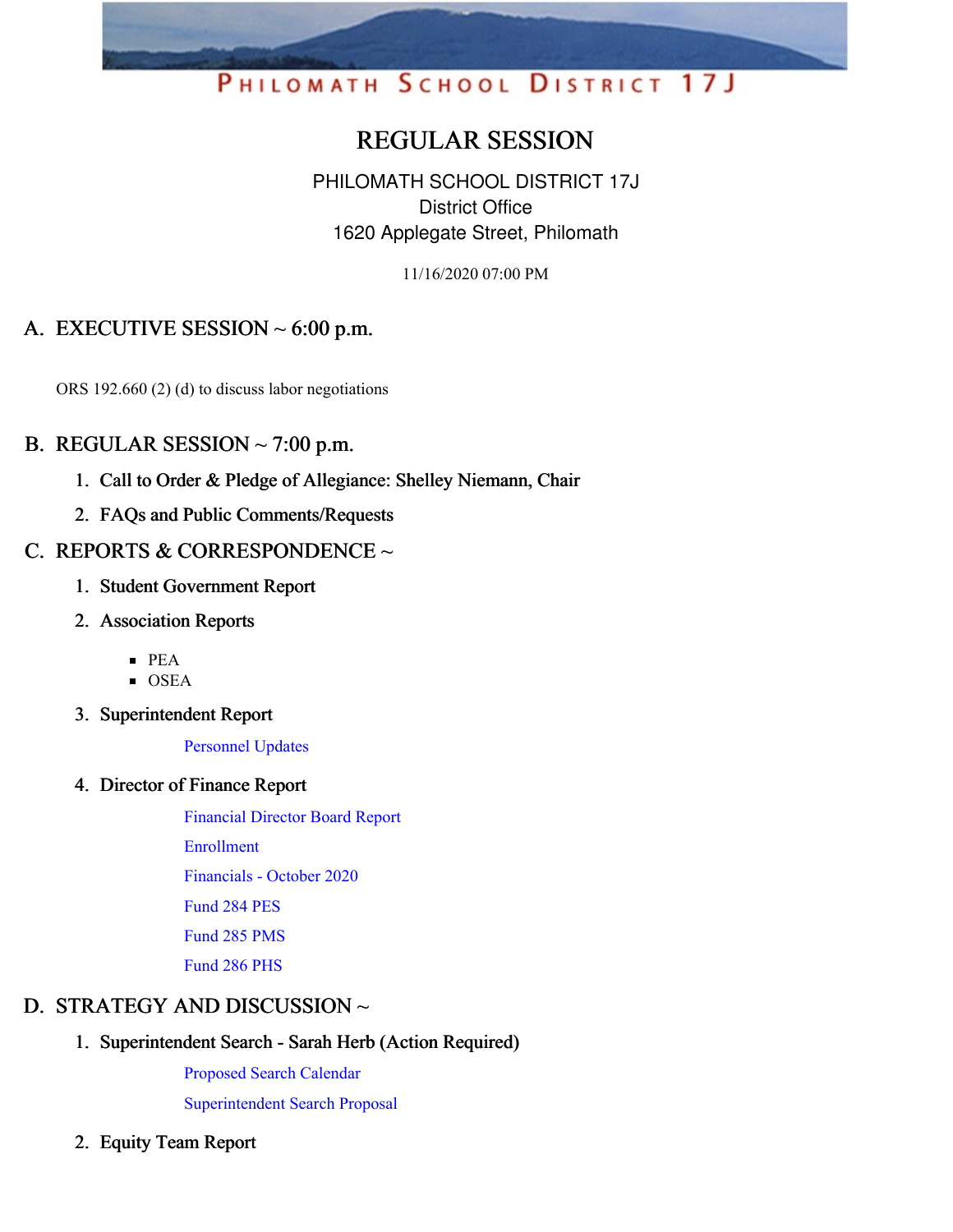# PHILOMATH SCHOOL DISTRICT 17J

# REGULAR SESSION

PHILOMATH SCHOOL DISTRICT 17J District Office 1620 Applegate Street, Philomath

11/16/2020 07:00 PM

## A. EXECUTIVE SESSION  $\sim 6:00$  p.m.

ORS 192.660 (2) (d) to discuss labor negotiations

#### B. REGULAR SESSION  $\sim$  7:00 p.m.

- 1. Call to Order & Pledge of Allegiance: Shelley Niemann, Chair
- 2. FAQs and Public Comments/Requests

#### C. REPORTS & CORRESPONDENCE  $\sim$

- 1. Student Government Report
- 2. Association Reports
	- PEA
	- **OSEA**
- 3. Superintendent Report

[Personnel](https://app.eduportal.com/documents/view/774364) Updates

#### 4. Director of Finance Report

[Financial](https://app.eduportal.com/documents/view/774547) Director Board Report [Enrollment](https://app.eduportal.com/documents/view/774552) [Financials](https://app.eduportal.com/documents/view/774407) - October 2020 [Fund](https://app.eduportal.com/documents/view/774406) 284 PES [Fund](https://app.eduportal.com/documents/view/774403) 285 PMS [Fund](https://app.eduportal.com/documents/view/774404) 286 PHS

#### D. STRATEGY AND DISCUSSION ~

#### 1. Superintendent Search - Sarah Herb (Action Required)

[Proposed](https://app.eduportal.com/documents/view/774326) Search Calendar

[Superintendent](https://app.eduportal.com/documents/view/774322) Search Proposal

2. Equity Team Report